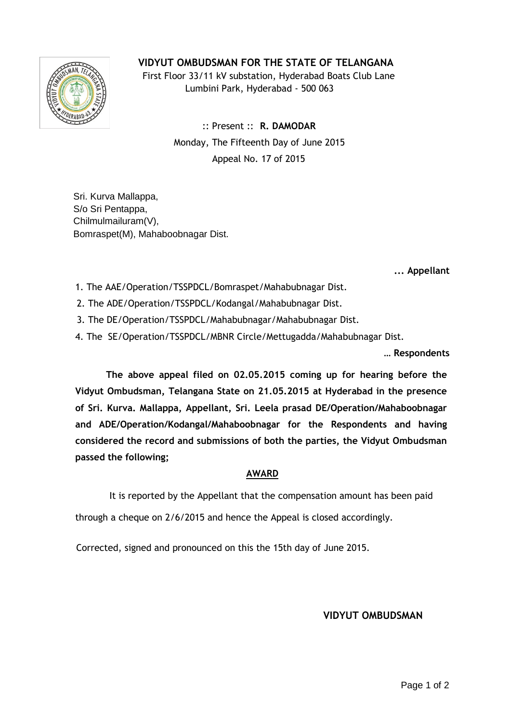## **VIDYUT OMBUDSMAN FOR THE STATE OF TELANGANA**



 First Floor 33/11 kV substation, Hyderabad Boats Club Lane Lumbini Park, Hyderabad - 500 063

> :: Present :: **R. DAMODAR** Monday, The Fifteenth Day of June 2015 Appeal No. 17 of 2015

Sri. Kurva Mallappa, S/o Sri Pentappa, Chilmulmailuram(V), Bomraspet(M), Mahaboobnagar Dist.

**... Appellant**

- 1. The AAE/Operation/TSSPDCL/Bomraspet/Mahabubnagar Dist.
- 2. 2. The ADE/Operation/TSSPDCL/Kodangal/Mahabubnagar Dist.
- 3. 3. The DE/Operation/TSSPDCL/Mahabubnagar/Mahabubnagar Dist.
- 4. The SE/Operation/TSSPDCL/MBNR Circle/Mettugadda/Mahabubnagar Dist.

**… Respondents**

**The above appeal filed on 02.05.2015 coming up for hearing before the Vidyut Ombudsman, Telangana State on 21.05.2015 at Hyderabad in the presence of Sri. Kurva. Mallappa, Appellant, Sri. Leela prasad DE/Operation/Mahaboobnagar and ADE/Operation/Kodangal/Mahaboobnagar for the Respondents and having considered the record and submissions of both the parties, the Vidyut Ombudsman passed the following;**

## **AWARD**

It is reported by the Appellant that the compensation amount has been paid

through a cheque on 2/6/2015 and hence the Appeal is closed accordingly.

Corrected, signed and pronounced on this the 15th day of June 2015.

## **VIDYUT OMBUDSMAN**